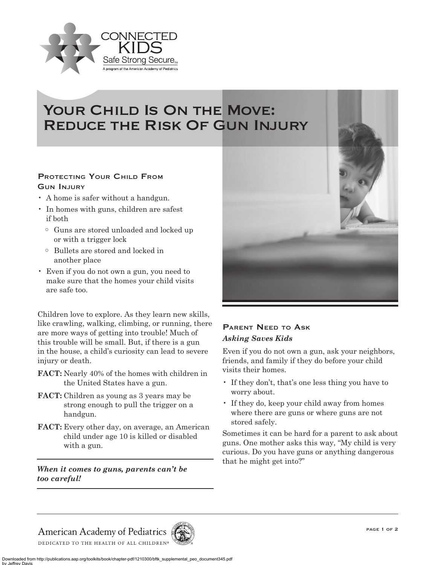

## YOUR CHILD IS ON THE MOVE: Reduce the Risk Of Gun Injury

## PROTECTING YOUR CHILD FROM Gun Injury

- A home is safer without a handgun.
- In homes with guns, children are safest if both
	- o Guns are stored unloaded and locked up or with a trigger lock
	- o Bullets are stored and locked in another place
- Even if you do not own a gun, you need to make sure that the homes your child visits are safe too.

Children love to explore. As they learn new skills, like crawling, walking, climbing, or running, there are more ways of getting into trouble! Much of this trouble will be small. But, if there is a gun in the house, a child's curiosity can lead to severe injury or death.

- **FACT:** Nearly 40% of the homes with children in the United States have a gun.
- **FACT:** Children as young as 3 years may be strong enough to pull the trigger on a handgun.
- **FACT:** Every other day, on average, an American child under age 10 is killed or disabled with a gun.

*When it comes to guns, parents can't be too careful!*



## PARENT NEED TO ASK *Asking Saves Kids*

Even if you do not own a gun, ask your neighbors, friends, and family if they do before your child visits their homes.

- If they don't, that's one less thing you have to worry about.
- If they do, keep your child away from homes where there are guns or where guns are not stored safely.

Sometimes it can be hard for a parent to ask about guns. One mother asks this way, "My child is very curious. Do you have guns or anything dangerous that he might get into?"